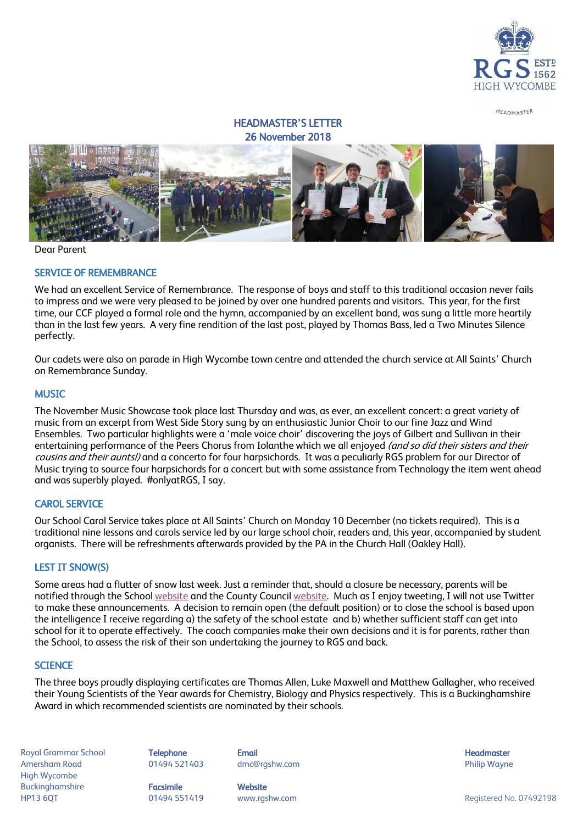

HEADMASTER

# HEADMASTER'S LETTER 26 November 2018



Dear Parent

#### SERVICE OF REMEMBRANCE

We had an excellent Service of Remembrance. The response of boys and staff to this traditional occasion never fails to impress and we were very pleased to be joined by over one hundred parents and visitors. This year, for the first time, our CCF played a formal role and the hymn, accompanied by an excellent band, was sung a little more heartily than in the last few years. A very fine rendition of the last post, played by Thomas Bass, led a Two Minutes Silence perfectly.

Our cadets were also on parade in High Wycombe town centre and attended the church service at All Saints' Church on Remembrance Sunday.

#### **MUSIC**

The November Music Showcase took place last Thursday and was, as ever, an excellent concert: a great variety of music from an excerpt from West Side Story sung by an enthusiastic Junior Choir to our fine Jazz and Wind Ensembles. Two particular highlights were a 'male voice choir' discovering the joys of Gilbert and Sullivan in their entertaining performance of the Peers Chorus from Iolanthe which we all enjoyed *(and so did their sisters and their* cousins and their aunts!) and a concerto for four harpsichords. It was a peculiarly RGS problem for our Director of Music trying to source four harpsichords for a concert but with some assistance from Technology the item went ahead and was superbly played. #onlyatRGS, I say.

#### CAROL SERVICE

Our School Carol Service takes place at All Saints' Church on Monday 10 December (no tickets required). This is a traditional nine lessons and carols service led by our large school choir, readers and, this year, accompanied by student organists. There will be refreshments afterwards provided by the PA in the Church Hall (Oakley Hall).

#### LEST IT SNOW(S)

Some areas had a flutter of snow last week. Just a reminder that, should a closure be necessary, parents will be notified through the Schoo[l website](http://www.rgshw.com/) and the County Council [website.](https://closures.buckscc.gov.uk/) Much as I enjoy tweeting, I will not use Twitter to make these announcements. A decision to remain open (the default position) or to close the school is based upon the intelligence I receive regarding a) the safety of the school estate and b) whether sufficient staff can get into school for it to operate effectively. The coach companies make their own decisions and it is for parents, rather than the School, to assess the risk of their son undertaking the journey to RGS and back.

#### **SCIENCE**

The three boys proudly displaying certificates are Thomas Allen, Luke Maxwell and Matthew Gallagher, who received their Young Scientists of the Year awards for Chemistry, Biology and Physics respectively. This is a Buckinghamshire Award in which recommended scientists are nominated by their schools.

Royal Grammar School **Telephone Email Headmaster Email Headmaster Headmaster Headmaster** Amersham Road 01494 521403 dmc@rgshw.com Philip Wayne High Wycombe Buckinghamshire **Facsimile Facsimile** Website HP13 6QT 01494 551419 www.rgshw.com Registered No. 07492198